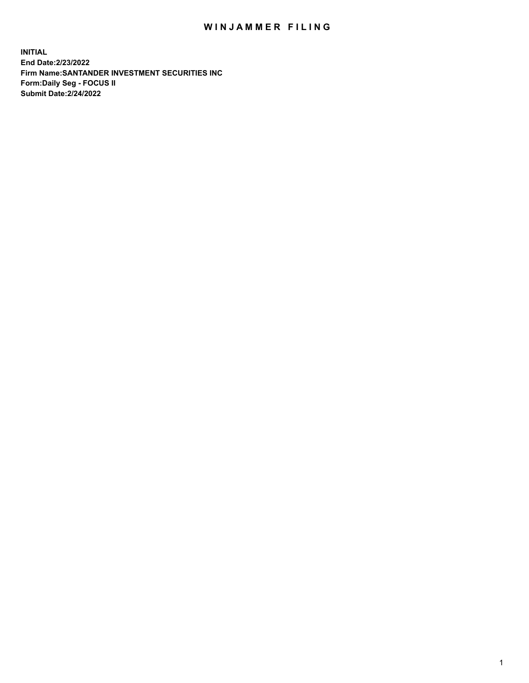## WIN JAMMER FILING

**INITIAL End Date:2/23/2022 Firm Name:SANTANDER INVESTMENT SECURITIES INC Form:Daily Seg - FOCUS II Submit Date:2/24/2022**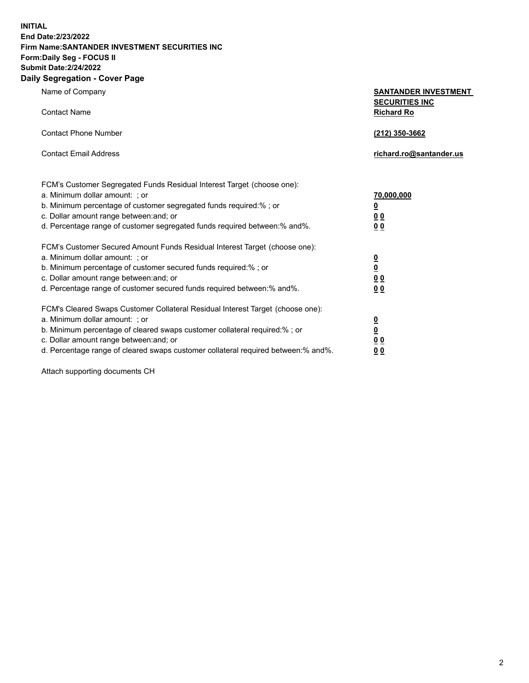**INITIAL End Date:2/23/2022 Firm Name:SANTANDER INVESTMENT SECURITIES INC Form:Daily Seg - FOCUS II Submit Date:2/24/2022 Daily Segregation - Cover Page**

| Name of Company                                                                                                                                                                                                                                                                                                                | SANTANDER INVESTMENT                                                               |
|--------------------------------------------------------------------------------------------------------------------------------------------------------------------------------------------------------------------------------------------------------------------------------------------------------------------------------|------------------------------------------------------------------------------------|
| <b>Contact Name</b>                                                                                                                                                                                                                                                                                                            | <b>SECURITIES INC</b><br><b>Richard Ro</b>                                         |
| <b>Contact Phone Number</b>                                                                                                                                                                                                                                                                                                    | (212) 350-3662                                                                     |
| <b>Contact Email Address</b>                                                                                                                                                                                                                                                                                                   | richard.ro@santander.us                                                            |
| FCM's Customer Segregated Funds Residual Interest Target (choose one):<br>a. Minimum dollar amount: ; or<br>b. Minimum percentage of customer segregated funds required:% ; or<br>c. Dollar amount range between: and; or<br>d. Percentage range of customer segregated funds required between:% and%.                         | 70,000,000<br>$\overline{\mathbf{0}}$<br>0 <sub>0</sub><br>0 <sub>0</sub>          |
| FCM's Customer Secured Amount Funds Residual Interest Target (choose one):<br>a. Minimum dollar amount: ; or<br>b. Minimum percentage of customer secured funds required:%; or<br>c. Dollar amount range between: and; or<br>d. Percentage range of customer secured funds required between:% and%.                            | $\frac{\frac{0}{0}}{\frac{0}{0}}$<br>0 <sub>0</sub>                                |
| FCM's Cleared Swaps Customer Collateral Residual Interest Target (choose one):<br>a. Minimum dollar amount: ; or<br>b. Minimum percentage of cleared swaps customer collateral required:% ; or<br>c. Dollar amount range between: and; or<br>d. Percentage range of cleared swaps customer collateral required between:% and%. | $\overline{\mathbf{0}}$<br>$\underline{\mathbf{0}}$<br>0 <sub>0</sub><br><u>00</u> |

Attach supporting documents CH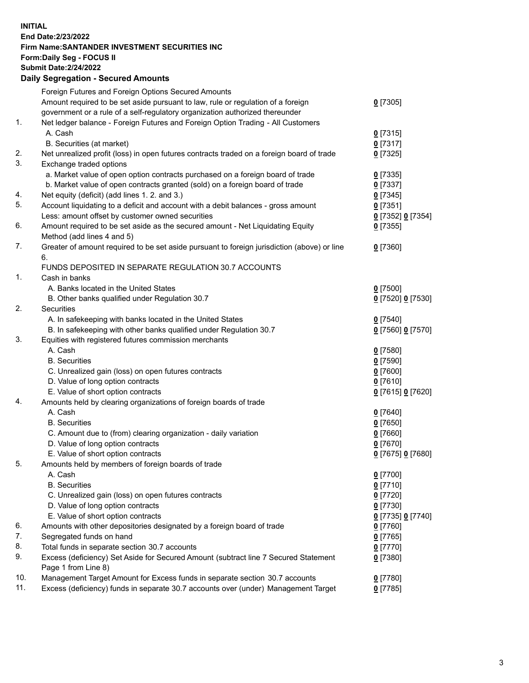## **INITIAL End Date:2/23/2022 Firm Name:SANTANDER INVESTMENT SECURITIES INC Form:Daily Seg - FOCUS II Submit Date:2/24/2022 Daily Segregation - Secured Amounts**

|     | Foreign Futures and Foreign Options Secured Amounts                                         |                   |
|-----|---------------------------------------------------------------------------------------------|-------------------|
|     | Amount required to be set aside pursuant to law, rule or regulation of a foreign            | $0$ [7305]        |
|     | government or a rule of a self-regulatory organization authorized thereunder                |                   |
| 1.  | Net ledger balance - Foreign Futures and Foreign Option Trading - All Customers             |                   |
|     | A. Cash                                                                                     | $0$ [7315]        |
|     | B. Securities (at market)                                                                   | $0$ [7317]        |
| 2.  | Net unrealized profit (loss) in open futures contracts traded on a foreign board of trade   | $0$ [7325]        |
| 3.  | Exchange traded options                                                                     |                   |
|     | a. Market value of open option contracts purchased on a foreign board of trade              | $0$ [7335]        |
|     | b. Market value of open contracts granted (sold) on a foreign board of trade                | $0$ [7337]        |
| 4.  | Net equity (deficit) (add lines 1. 2. and 3.)                                               | $0$ [7345]        |
| 5.  | Account liquidating to a deficit and account with a debit balances - gross amount           | $0$ [7351]        |
|     | Less: amount offset by customer owned securities                                            | 0 [7352] 0 [7354] |
| 6.  | Amount required to be set aside as the secured amount - Net Liquidating Equity              | $0$ [7355]        |
|     | Method (add lines 4 and 5)                                                                  |                   |
| 7.  | Greater of amount required to be set aside pursuant to foreign jurisdiction (above) or line | $0$ [7360]        |
|     | 6.                                                                                          |                   |
|     | FUNDS DEPOSITED IN SEPARATE REGULATION 30.7 ACCOUNTS                                        |                   |
| 1.  | Cash in banks                                                                               |                   |
|     | A. Banks located in the United States                                                       | $0$ [7500]        |
|     | B. Other banks qualified under Regulation 30.7                                              | 0 [7520] 0 [7530] |
| 2.  | Securities                                                                                  |                   |
|     | A. In safekeeping with banks located in the United States                                   | $0$ [7540]        |
|     | B. In safekeeping with other banks qualified under Regulation 30.7                          | 0 [7560] 0 [7570] |
| 3.  | Equities with registered futures commission merchants                                       |                   |
|     | A. Cash                                                                                     | $0$ [7580]        |
|     | <b>B.</b> Securities                                                                        | $0$ [7590]        |
|     | C. Unrealized gain (loss) on open futures contracts                                         | $0$ [7600]        |
|     | D. Value of long option contracts                                                           | $0$ [7610]        |
|     | E. Value of short option contracts                                                          | 0 [7615] 0 [7620] |
| 4.  | Amounts held by clearing organizations of foreign boards of trade                           |                   |
|     | A. Cash                                                                                     | $0$ [7640]        |
|     | <b>B.</b> Securities                                                                        | $0$ [7650]        |
|     | C. Amount due to (from) clearing organization - daily variation                             | $0$ [7660]        |
|     | D. Value of long option contracts                                                           | $0$ [7670]        |
|     | E. Value of short option contracts                                                          | 0 [7675] 0 [7680] |
| 5.  | Amounts held by members of foreign boards of trade                                          |                   |
|     | A. Cash                                                                                     | $0$ [7700]        |
|     | <b>B.</b> Securities                                                                        | 0 [7710]          |
|     | C. Unrealized gain (loss) on open futures contracts                                         | $0$ [7720]        |
|     | D. Value of long option contracts                                                           | $0$ [7730]        |
|     | E. Value of short option contracts                                                          | 0 [7735] 0 [7740] |
| 6.  | Amounts with other depositories designated by a foreign board of trade                      | $0$ [7760]        |
| 7.  | Segregated funds on hand                                                                    | $0$ [7765]        |
| 8.  | Total funds in separate section 30.7 accounts                                               | $0$ [7770]        |
| 9.  | Excess (deficiency) Set Aside for Secured Amount (subtract line 7 Secured Statement         |                   |
|     | Page 1 from Line 8)                                                                         | $0$ [7380]        |
| 10. | Management Target Amount for Excess funds in separate section 30.7 accounts                 | $0$ [7780]        |
| 11. | Excess (deficiency) funds in separate 30.7 accounts over (under) Management Target          | $0$ [7785]        |
|     |                                                                                             |                   |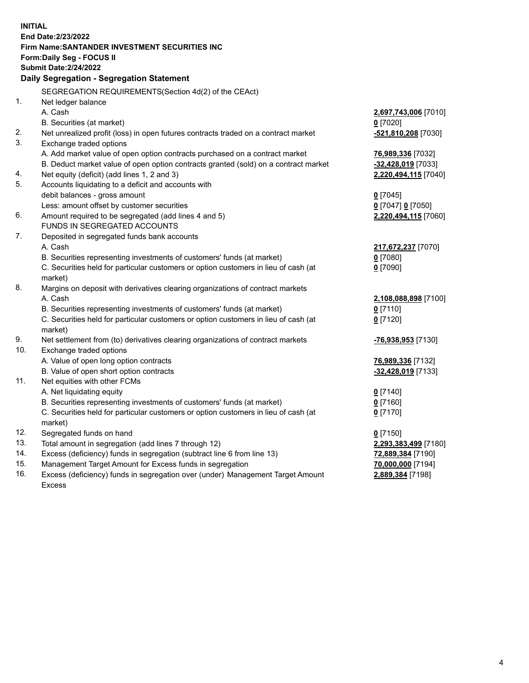| <b>INITIAL</b> |                                                                                            |                      |
|----------------|--------------------------------------------------------------------------------------------|----------------------|
|                | End Date: 2/23/2022                                                                        |                      |
|                | Firm Name: SANTANDER INVESTMENT SECURITIES INC                                             |                      |
|                | <b>Form:Daily Seg - FOCUS II</b>                                                           |                      |
|                | <b>Submit Date: 2/24/2022</b>                                                              |                      |
|                | Daily Segregation - Segregation Statement                                                  |                      |
|                | SEGREGATION REQUIREMENTS(Section 4d(2) of the CEAct)                                       |                      |
| 1.             | Net ledger balance                                                                         |                      |
|                | A. Cash                                                                                    | 2,697,743,006 [7010] |
|                | B. Securities (at market)                                                                  | $0$ [7020]           |
| 2.             | Net unrealized profit (loss) in open futures contracts traded on a contract market         | -521,810,208 [7030]  |
| 3.             | Exchange traded options                                                                    |                      |
|                | A. Add market value of open option contracts purchased on a contract market                | 76,989,336 [7032]    |
|                | B. Deduct market value of open option contracts granted (sold) on a contract market        | -32,428,019 [7033]   |
| 4.             | Net equity (deficit) (add lines 1, 2 and 3)                                                | 2,220,494,115 [7040] |
| 5.             | Accounts liquidating to a deficit and accounts with                                        |                      |
|                | debit balances - gross amount                                                              | $0$ [7045]           |
|                | Less: amount offset by customer securities                                                 | 0 [7047] 0 [7050]    |
| 6.             | Amount required to be segregated (add lines 4 and 5)                                       | 2,220,494,115 [7060] |
|                | FUNDS IN SEGREGATED ACCOUNTS                                                               |                      |
| 7.             | Deposited in segregated funds bank accounts                                                |                      |
|                | A. Cash                                                                                    | 217,672,237 [7070]   |
|                | B. Securities representing investments of customers' funds (at market)                     | $0$ [7080]           |
|                | C. Securities held for particular customers or option customers in lieu of cash (at        | $0$ [7090]           |
|                | market)                                                                                    |                      |
| 8.             | Margins on deposit with derivatives clearing organizations of contract markets             |                      |
|                | A. Cash                                                                                    | 2,108,088,898 [7100] |
|                | B. Securities representing investments of customers' funds (at market)                     | $0$ [7110]           |
|                | C. Securities held for particular customers or option customers in lieu of cash (at        | $0$ [7120]           |
| 9.             | market)<br>Net settlement from (to) derivatives clearing organizations of contract markets | -76,938,953 [7130]   |
| 10.            | Exchange traded options                                                                    |                      |
|                | A. Value of open long option contracts                                                     | 76,989,336 [7132]    |
|                | B. Value of open short option contracts                                                    | -32,428,019 [7133]   |
| 11.            | Net equities with other FCMs                                                               |                      |
|                | A. Net liquidating equity                                                                  | $0$ [7140]           |
|                | B. Securities representing investments of customers' funds (at market)                     | $0$ [7160]           |
|                | C. Securities held for particular customers or option customers in lieu of cash (at        | $0$ [7170]           |
|                | market)                                                                                    |                      |
| 12.            | Segregated funds on hand                                                                   | $0$ [7150]           |
| 13.            | Total amount in segregation (add lines 7 through 12)                                       | 2,293,383,499 [7180] |
| 14.            | Excess (deficiency) funds in segregation (subtract line 6 from line 13)                    | 72,889,384 [7190]    |
| 15.            | Management Target Amount for Excess funds in segregation                                   | 70,000,000 [7194]    |
| 16.            | Excess (deficiency) funds in segregation over (under) Management Target Amount             | 2,889,384 [7198]     |
|                | <b>Excess</b>                                                                              |                      |